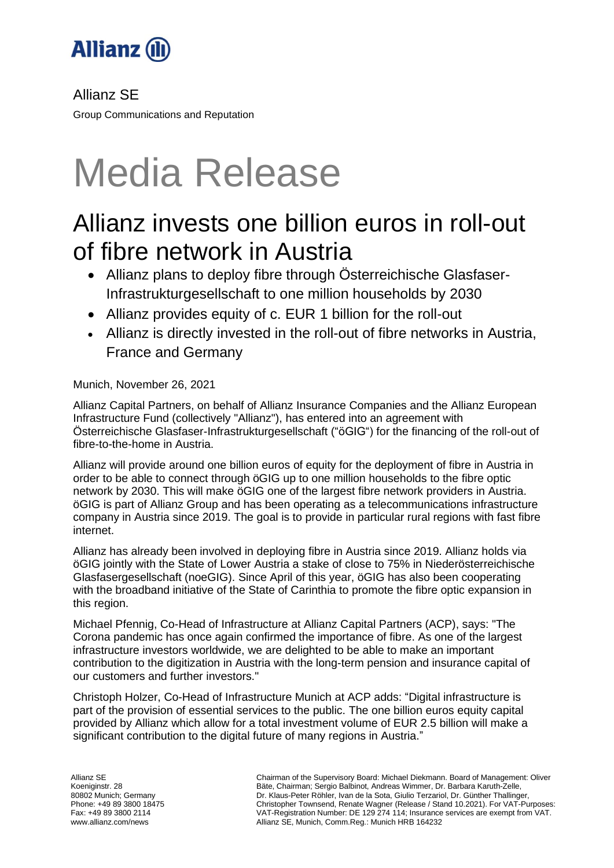

Allianz SE

Group Communications and Reputation

# Media Release

# Allianz invests one billion euros in roll-out of fibre network in Austria

- Allianz plans to deploy fibre through Österreichische Glasfaser-Infrastrukturgesellschaft to one million households by 2030
- Allianz provides equity of c. EUR 1 billion for the roll-out
- Allianz is directly invested in the roll-out of fibre networks in Austria, France and Germany

Munich, November 26, 2021

Allianz Capital Partners, on behalf of Allianz Insurance Companies and the Allianz European Infrastructure Fund (collectively "Allianz"), has entered into an agreement with Österreichische Glasfaser-Infrastrukturgesellschaft ("öGIG") for the financing of the roll-out of fibre-to-the-home in Austria.

Allianz will provide around one billion euros of equity for the deployment of fibre in Austria in order to be able to connect through öGIG up to one million households to the fibre optic network by 2030. This will make öGIG one of the largest fibre network providers in Austria. öGIG is part of Allianz Group and has been operating as a telecommunications infrastructure company in Austria since 2019. The goal is to provide in particular rural regions with fast fibre internet.

Allianz has already been involved in deploying fibre in Austria since 2019. Allianz holds via öGIG jointly with the State of Lower Austria a stake of close to 75% in Niederösterreichische Glasfasergesellschaft (noeGIG). Since April of this year, öGIG has also been cooperating with the broadband initiative of the State of Carinthia to promote the fibre optic expansion in this region.

Michael Pfennig, Co-Head of Infrastructure at Allianz Capital Partners (ACP), says: "The Corona pandemic has once again confirmed the importance of fibre. As one of the largest infrastructure investors worldwide, we are delighted to be able to make an important contribution to the digitization in Austria with the long-term pension and insurance capital of our customers and further investors."

Christoph Holzer, Co-Head of Infrastructure Munich at ACP adds: "Digital infrastructure is part of the provision of essential services to the public. The one billion euros equity capital provided by Allianz which allow for a total investment volume of EUR 2.5 billion will make a significant contribution to the digital future of many regions in Austria."

Chairman of the Supervisory Board: Michael Diekmann. Board of Management: Oliver Bäte, Chairman; Sergio Balbinot, Andreas Wimmer, Dr. Barbara Karuth-Zelle, Dr. Klaus-Peter Röhler, Ivan de la Sota, Giulio Terzariol, Dr. Günther Thallinger, Christopher Townsend, Renate Wagner (Release / Stand 10.2021). For VAT-Purposes: VAT-Registration Number: DE 129 274 114; Insurance services are exempt from VAT. Allianz SE, Munich, Comm.Reg.: Munich HRB 164232